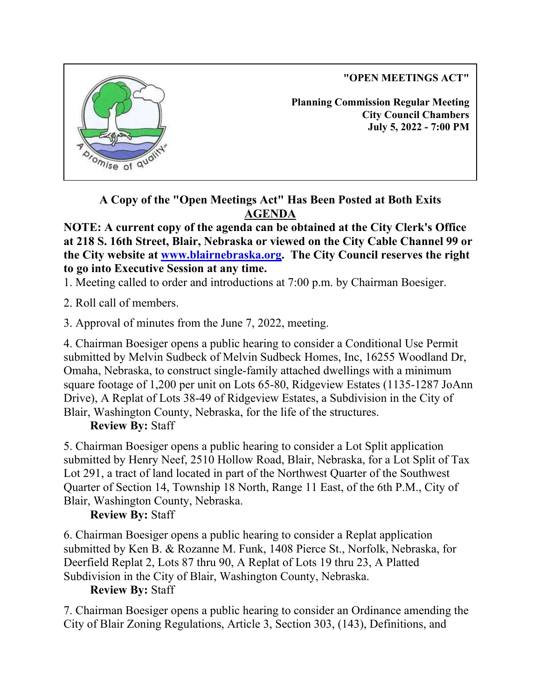**"OPEN MEETINGS ACT"**



**Planning Commission Regular Meeting City Council Chambers July 5, 2022 - 7:00 PM**

**A Copy of the "Open Meetings Act" Has Been Posted at Both Exits AGENDA**

**NOTE: A current copy of the agenda can be obtained at the City Clerk's Office at 218 S. 16th Street, Blair, Nebraska or viewed on the City Cable Channel 99 or the City website at www.blairnebraska.org. The City Council reserves the right to go into Executive Session at any time.**

1. Meeting called to order and introductions at 7:00 p.m. by Chairman Boesiger.

2. Roll call of members.

3. Approval of minutes from the June 7, 2022, meeting.

4. Chairman Boesiger opens a public hearing to consider a Conditional Use Permit submitted by Melvin Sudbeck of Melvin Sudbeck Homes, Inc, 16255 Woodland Dr, Omaha, Nebraska, to construct single-family attached dwellings with a minimum square footage of 1,200 per unit on Lots 65-80, Ridgeview Estates (1135-1287 JoAnn Drive), A Replat of Lots 38-49 of Ridgeview Estates, a Subdivision in the City of Blair, Washington County, Nebraska, for the life of the structures.

## **Review By:** Staff

5. Chairman Boesiger opens a public hearing to consider a Lot Split application submitted by Henry Neef, 2510 Hollow Road, Blair, Nebraska, for a Lot Split of Tax Lot 291, a tract of land located in part of the Northwest Quarter of the Southwest Quarter of Section 14, Township 18 North, Range 11 East, of the 6th P.M., City of Blair, Washington County, Nebraska.

# **Review By:** Staff

6. Chairman Boesiger opens a public hearing to consider a Replat application submitted by Ken B. & Rozanne M. Funk, 1408 Pierce St., Norfolk, Nebraska, for Deerfield Replat 2, Lots 87 thru 90, A Replat of Lots 19 thru 23, A Platted Subdivision in the City of Blair, Washington County, Nebraska.

## **Review By:** Staff

7. Chairman Boesiger opens a public hearing to consider an Ordinance amending the City of Blair Zoning Regulations, Article 3, Section 303, (143), Definitions, and